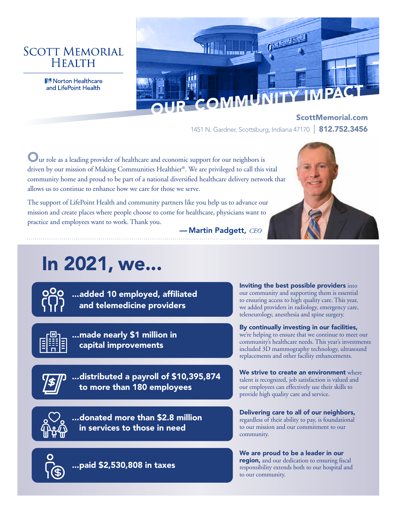## **SCOTT MEMORIAL HEALTH**

Norton Healthcare



ScottMemorial.com 1451 N. Gardner, Scottsburg, Indiana 47170 | 812.752.3456

Our role as a leading provider of healthcare and economic support for our neighbors is driven by our mission of Making Communities Healthier®. We are privileged to call this vital community home and proud to be part of a national diversified healthcare delivery network that allows us to continue to enhance how we care for those we serve.

The support of LifePoint Health and community partners like you help us to advance our mission and create places where people choose to come for healthcare, physicians want to practice and employees want to work. Thank you.



— Martin Padgett, *CEO*

# In 2021, we...



...added 10 employed, affiliated and telemedicine providers



...made nearly \$1 million in capital improvements



...distributed a payroll of \$10,395,874 to more than 180 employees



...donated more than \$2.8 million in services to those in need

...paid \$2,530,808 in taxes

Inviting the best possible providers into our community and supporting them is essential to ensuring access to high quality care. This year, we added providers in radiology, emergency care, teleneurology, anesthesia and spine surgery.

#### By continually investing in our facilities,

we're helping to ensure that we continue to meet our community's healthcare needs. This year's investments included 3D mammography technology, ultrasound replacements and other facility enhancements.

We strive to create an environment where talent is recognized, job satisfaction is valued and our employees can effectively use their skills to provide high quality care and service.

Delivering care to all of our neighbors, regardless of their ability to pay, is foundational to our mission and our commitment to our community.

We are proud to be a leader in our region, and our dedication to ensuring fiscal responsibility extends both to our hospital and to our community.